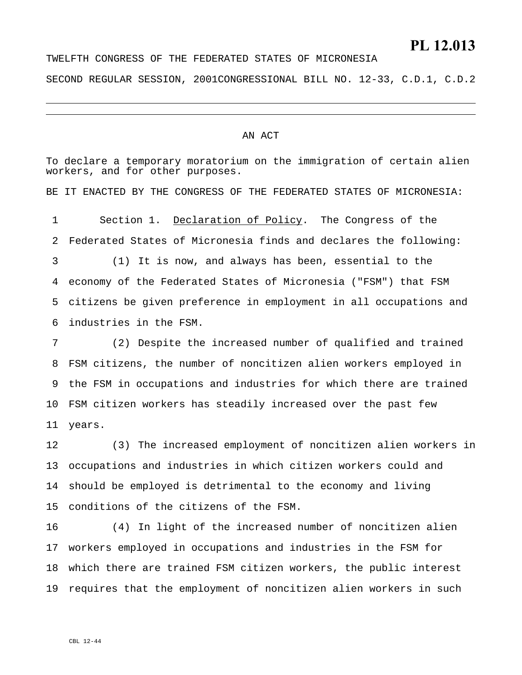## **PL 12.013**

TWELFTH CONGRESS OF THE FEDERATED STATES OF MICRONESIA SECOND REGULAR SESSION, 2001CONGRESSIONAL BILL NO. 12-33, C.D.1, C.D.2

#### AN ACT

To declare a temporary moratorium on the immigration of certain alien workers, and for other purposes. BE IT ENACTED BY THE CONGRESS OF THE FEDERATED STATES OF MICRONESIA: Section 1. Declaration of Policy. The Congress of the Federated States of Micronesia finds and declares the following: 1 2 3 4 5 6 7 (1) It is now, and always has been, essential to the economy of the Federated States of Micronesia ("FSM") that FSM citizens be given preference in employment in all occupations and industries in the FSM. (2) Despite the increased number of qualified and trained

8 9 10 FSM citizen workers has steadily increased over the past few 11 FSM citizens, the number of noncitizen alien workers employed in the FSM in occupations and industries for which there are trained years.

12 13 14 15 (3) The increased employment of noncitizen alien workers in occupations and industries in which citizen workers could and should be employed is detrimental to the economy and living conditions of the citizens of the FSM.

16 17 18 which there are trained FSM citizen workers, the public interest 19 (4) In light of the increased number of noncitizen alien workers employed in occupations and industries in the FSM for requires that the employment of noncitizen alien workers in such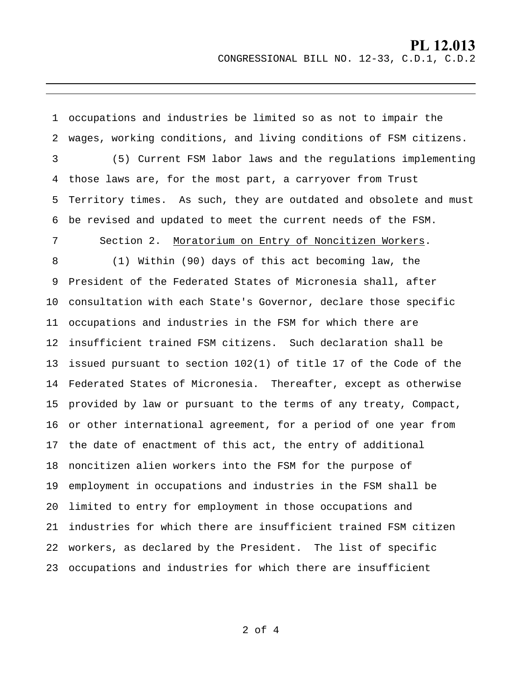#### **PL 12.013** CONGRESSIONAL BILL NO. 12-33, C.D.1, C.D.2

 occupations and industries be limited so as not to impair the wages, working conditions, and living conditions of FSM citizens. those laws are, for the most part, a carryover from Trust (5) Current FSM labor laws and the regulations implementing Territory times. As such, they are outdated and obsolete and must be revised and updated to meet the current needs of the FSM. President of the Federated States of Micronesia shall, after consultation with each State's Governor, declare those specific occupations and industries in the FSM for which there are insufficient trained FSM citizens. Such declaration shall be Federated States of Micronesia. Thereafter, except as otherwise provided by law or pursuant to the terms of any treaty, Compact, or other international agreement, for a period of one year from noncitizen alien workers into the FSM for the purpose of employment in occupations and industries in the FSM shall be workers, as declared by the President. The list of specific occupations and industries for which there are insufficient Section 2. Moratorium on Entry of Noncitizen Workers. (1) Within (90) days of this act becoming law, the issued pursuant to section 102(1) of title 17 of the Code of the the date of enactment of this act, the entry of additional limited to entry for employment in those occupations and industries for which there are insufficient trained FSM citizen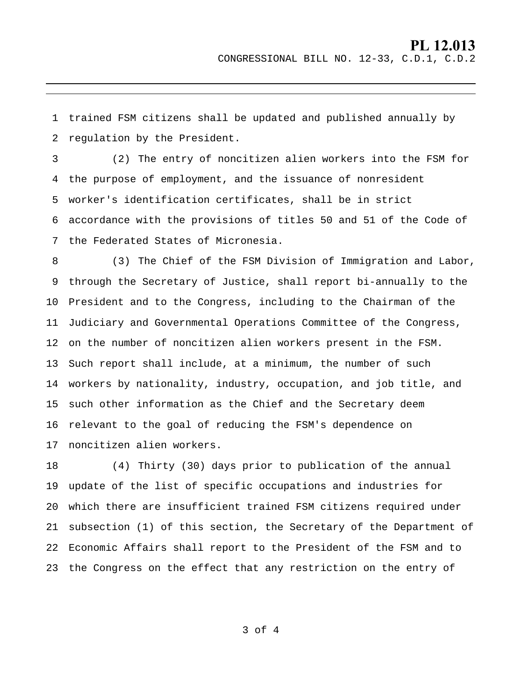### **PL 12.013** CONGRESSIONAL BILL NO. 12-33, C.D.1, C.D.2

1 2 trained FSM citizens shall be updated and published annually by regulation by the President.

3 4 5 6 7 (2) The entry of noncitizen alien workers into the FSM for the purpose of employment, and the issuance of nonresident worker's identification certificates, shall be in strict accordance with the provisions of titles 50 and 51 of the Code of the Federated States of Micronesia.

8 9 10 President and to the Congress, including to the Chairman of the 11 12 on the number of noncitizen alien workers present in the FSM. 13 Such report shall include, at a minimum, the number of such 14 workers by nationality, industry, occupation, and job title, and 15 such other information as the Chief and the Secretary deem 16 17 noncitizen alien workers. (3) The Chief of the FSM Division of Immigration and Labor, through the Secretary of Justice, shall report bi-annually to the Judiciary and Governmental Operations Committee of the Congress, relevant to the goal of reducing the FSM's dependence on

18 19 20 which there are insufficient trained FSM citizens required under 21 22 Economic Affairs shall report to the President of the FSM and to 23 the Congress on the effect that any restriction on the entry of (4) Thirty (30) days prior to publication of the annual update of the list of specific occupations and industries for subsection (1) of this section, the Secretary of the Department of